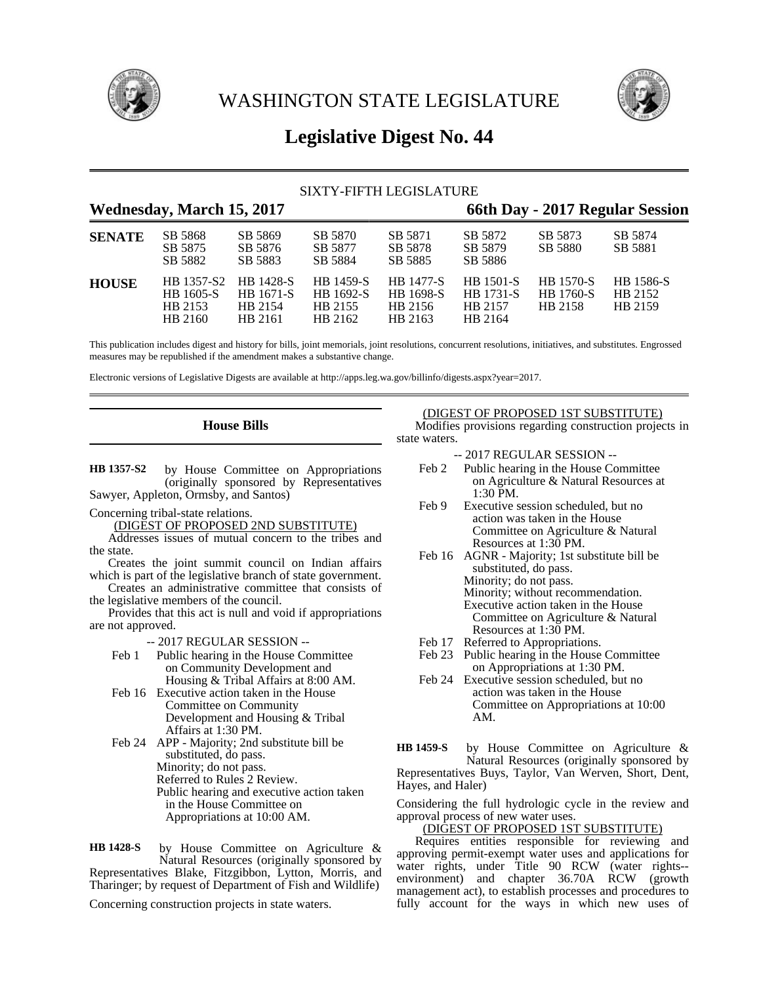

WASHINGTON STATE LEGISLATURE



# **Legislative Digest No. 44**

## SIXTY-FIFTH LEGISLATURE

## **Wednesday, March 15, 2017 66th Day - 2017 Regular Session**

| <b>SENATE</b> | SB 5868<br>SB 5875<br>SB 5882                 | SB 5869<br>SB 5876<br>SB 5883                       | SB 5870<br>SB 5877<br>SB 5884                | SB 5871<br>SB 5878<br>SB 5885                       | SB 5872<br>SB 5879<br>SB 5886                              | SB 5873<br>SB 5880                              | SB 5874<br>SB 5881              |
|---------------|-----------------------------------------------|-----------------------------------------------------|----------------------------------------------|-----------------------------------------------------|------------------------------------------------------------|-------------------------------------------------|---------------------------------|
| <b>HOUSE</b>  | HB 1357-S2<br>HB 1605-S<br>HB 2153<br>HB 2160 | <b>HB</b> 1428-S<br>HB 1671-S<br>HB 2154<br>HB 2161 | HB 1459-S<br>HB 1692-S<br>HB 2155<br>HB 2162 | <b>HB</b> 1477-S<br>HB 1698-S<br>HB 2156<br>HB 2163 | <b>HB</b> 1501-S<br><b>HB</b> 1731-S<br>HB 2157<br>HB 2164 | <b>HB</b> 1570-S<br><b>HB</b> 1760-S<br>HB 2158 | HB 1586-S<br>HB 2152<br>HB 2159 |

This publication includes digest and history for bills, joint memorials, joint resolutions, concurrent resolutions, initiatives, and substitutes. Engrossed measures may be republished if the amendment makes a substantive change.

Electronic versions of Legislative Digests are available at http://apps.leg.wa.gov/billinfo/digests.aspx?year=2017.

## **House Bills**

by House Committee on Appropriations (originally sponsored by Representatives Sawyer, Appleton, Ormsby, and Santos) **HB 1357-S2**

Concerning tribal-state relations.

(DIGEST OF PROPOSED 2ND SUBSTITUTE)

Addresses issues of mutual concern to the tribes and the state.

Creates the joint summit council on Indian affairs which is part of the legislative branch of state government. Creates an administrative committee that consists of

the legislative members of the council.

Provides that this act is null and void if appropriations are not approved.

-- 2017 REGULAR SESSION --

- Feb 1 Public hearing in the House Committee on Community Development and Housing & Tribal Affairs at 8:00 AM.
- Feb 16 Executive action taken in the House Committee on Community Development and Housing & Tribal Affairs at 1:30 PM.
- Feb 24 APP Majority; 2nd substitute bill be substituted, do pass. Minority; do not pass. Referred to Rules 2 Review. Public hearing and executive action taken in the House Committee on Appropriations at 10:00 AM.

by House Committee on Agriculture & Natural Resources (originally sponsored by Representatives Blake, Fitzgibbon, Lytton, Morris, and Tharinger; by request of Department of Fish and Wildlife) **HB 1428-S**

Concerning construction projects in state waters.

## (DIGEST OF PROPOSED 1ST SUBSTITUTE)

Modifies provisions regarding construction projects in state waters.

- -- 2017 REGULAR SESSION --
- Feb 2 Public hearing in the House Committee on Agriculture & Natural Resources at 1:30 PM.
- Feb 9 Executive session scheduled, but no action was taken in the House Committee on Agriculture & Natural Resources at 1:30 PM.
- Feb 16 AGNR Majority; 1st substitute bill be substituted, do pass. Minority; do not pass. Minority; without recommendation. Executive action taken in the House Committee on Agriculture & Natural Resources at 1:30 PM.
- Feb 17 Referred to Appropriations.
- Feb 23 Public hearing in the House Committee on Appropriations at 1:30 PM.
- Feb 24 Executive session scheduled, but no action was taken in the House Committee on Appropriations at 10:00 AM.

by House Committee on Agriculture & Natural Resources (originally sponsored by Representatives Buys, Taylor, Van Werven, Short, Dent, Hayes, and Haler) **HB 1459-S**

Considering the full hydrologic cycle in the review and approval process of new water uses.

### (DIGEST OF PROPOSED 1ST SUBSTITUTE)

Requires entities responsible for reviewing and approving permit-exempt water uses and applications for water rights, under Title 90 RCW (water rights- environment) and chapter 36.70A RCW (growth management act), to establish processes and procedures to fully account for the ways in which new uses of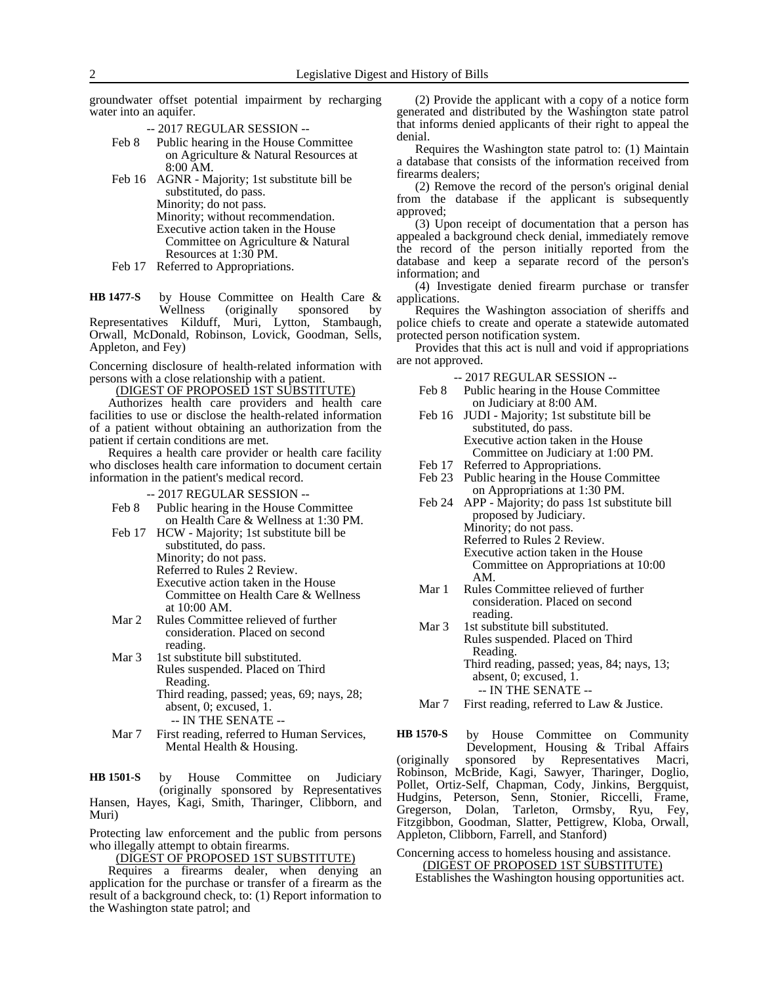groundwater offset potential impairment by recharging water into an aquifer.

-- 2017 REGULAR SESSION --

- Feb 8 Public hearing in the House Committee on Agriculture & Natural Resources at 8:00 AM.
- Feb 16 AGNR Majority; 1st substitute bill be substituted, do pass. Minority; do not pass. Minority; without recommendation. Executive action taken in the House Committee on Agriculture & Natural Resources at 1:30 PM.
- Feb 17 Referred to Appropriations.

by House Committee on Health Care & Wellness (originally sponsored by<br>Representatives Kilduff, Muri, Lytton, Stambaugh, Muri, Lytton, Stambaugh, Orwall, McDonald, Robinson, Lovick, Goodman, Sells, Appleton, and Fey) **HB 1477-S**

Concerning disclosure of health-related information with persons with a close relationship with a patient.

(DIGEST OF PROPOSED 1ST SUBSTITUTE)

Authorizes health care providers and health care facilities to use or disclose the health-related information of a patient without obtaining an authorization from the patient if certain conditions are met.

Requires a health care provider or health care facility who discloses health care information to document certain information in the patient's medical record.

-- 2017 REGULAR SESSION --

- Feb 8 Public hearing in the House Committee on Health Care & Wellness at 1:30 PM.
- Feb 17 HCW Majority; 1st substitute bill be substituted, do pass.

Minority; do not pass.

Referred to Rules 2 Review. Executive action taken in the House Committee on Health Care & Wellness at 10:00 AM.

- Mar 2 Rules Committee relieved of further consideration. Placed on second reading.
- Mar 3 1st substitute bill substituted. Rules suspended. Placed on Third Reading. Third reading, passed; yeas, 69; nays, 28;

absent, 0; excused, 1.

- -- IN THE SENATE --
- Mar 7 First reading, referred to Human Services, Mental Health & Housing.

by House Committee on Judiciary (originally sponsored by Representatives Hansen, Hayes, Kagi, Smith, Tharinger, Clibborn, and Muri) **HB 1501-S**

Protecting law enforcement and the public from persons who illegally attempt to obtain firearms.

(DIGEST OF PROPOSED 1ST SUBSTITUTE)

Requires a firearms dealer, when denying an application for the purchase or transfer of a firearm as the result of a background check, to: (1) Report information to the Washington state patrol; and

(2) Provide the applicant with a copy of a notice form generated and distributed by the Washington state patrol that informs denied applicants of their right to appeal the denial.

Requires the Washington state patrol to: (1) Maintain a database that consists of the information received from firearms dealers;

(2) Remove the record of the person's original denial from the database if the applicant is subsequently approved;

(3) Upon receipt of documentation that a person has appealed a background check denial, immediately remove the record of the person initially reported from the database and keep a separate record of the person's information; and

(4) Investigate denied firearm purchase or transfer applications.

Requires the Washington association of sheriffs and police chiefs to create and operate a statewide automated protected person notification system.

Provides that this act is null and void if appropriations are not approved.

-- 2017 REGULAR SESSION --

- Feb 8 Public hearing in the House Committee on Judiciary at 8:00 AM.
- Feb 16 JUDI Majority; 1st substitute bill be substituted, do pass. Executive action taken in the House Committee on Judiciary at 1:00 PM.
- Feb 17 Referred to Appropriations. Feb 23 Public hearing in the House Committee
- on Appropriations at 1:30 PM. Feb 24 APP - Majority; do pass 1st substitute bill

proposed by Judiciary. Minority; do not pass. Referred to Rules 2 Review. Executive action taken in the House Committee on Appropriations at 10:00

AM.

- Mar 1 Rules Committee relieved of further consideration. Placed on second reading.
- Mar 3 1st substitute bill substituted. Rules suspended. Placed on Third Reading. Third reading, passed; yeas, 84; nays, 13; absent, 0; excused, 1.
	- -- IN THE SENATE --
- Mar 7 First reading, referred to Law & Justice.

by House Committee on Community Development, Housing & Tribal Affairs (originally sponsored by Representatives Macri, Robinson, McBride, Kagi, Sawyer, Tharinger, Doglio, Pollet, Ortiz-Self, Chapman, Cody, Jinkins, Bergquist, Hudgins, Peterson, Senn, Stonier, Riccelli, Frame, Gregerson, Dolan, Tarleton, Ormsby, Ryu, Fey, Fitzgibbon, Goodman, Slatter, Pettigrew, Kloba, Orwall, Appleton, Clibborn, Farrell, and Stanford) **HB 1570-S**

Concerning access to homeless housing and assistance. (DIGEST OF PROPOSED 1ST SUBSTITUTE) Establishes the Washington housing opportunities act.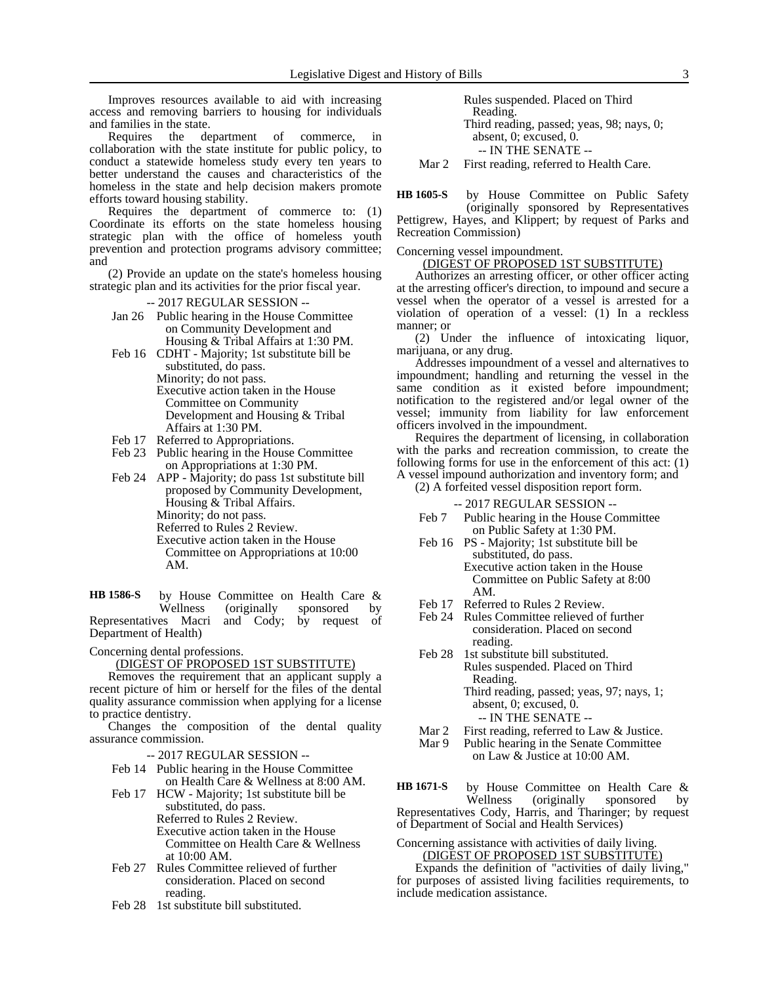Improves resources available to aid with increasing access and removing barriers to housing for individuals and families in the state.

Requires the department of commerce, collaboration with the state institute for public policy, to conduct a statewide homeless study every ten years to better understand the causes and characteristics of the homeless in the state and help decision makers promote efforts toward housing stability.

Requires the department of commerce to: (1) Coordinate its efforts on the state homeless housing strategic plan with the office of homeless youth prevention and protection programs advisory committee; and

(2) Provide an update on the state's homeless housing strategic plan and its activities for the prior fiscal year.

-- 2017 REGULAR SESSION --

- Jan 26 Public hearing in the House Committee on Community Development and Housing & Tribal Affairs at 1:30 PM.
- Feb 16 CDHT Majority; 1st substitute bill be substituted, do pass. Minority; do not pass.
	- Executive action taken in the House Committee on Community Development and Housing & Tribal Affairs at 1:30 PM.
- Feb 17 Referred to Appropriations.
- Feb 23 Public hearing in the House Committee on Appropriations at 1:30 PM.
- Feb 24 APP Majority; do pass 1st substitute bill proposed by Community Development, Housing & Tribal Affairs. Minority; do not pass.
	- Referred to Rules 2 Review.
	- Executive action taken in the House Committee on Appropriations at 10:00 AM.

by House Committee on Health Care &<br>Wellness (originally sponsored by (originally sponsored by Representatives Macri and Cody; by request of Department of Health) **HB 1586-S**

Concerning dental professions.

## (DIGEST OF PROPOSED 1ST SUBSTITUTE)

Removes the requirement that an applicant supply a recent picture of him or herself for the files of the dental quality assurance commission when applying for a license to practice dentistry.

Changes the composition of the dental quality assurance commission.

- -- 2017 REGULAR SESSION --
- Feb 14 Public hearing in the House Committee on Health Care & Wellness at 8:00 AM.
- Feb 17 HCW Majority; 1st substitute bill be substituted, do pass. Referred to Rules 2 Review. Executive action taken in the House Committee on Health Care & Wellness at 10:00 AM.
- Feb 27 Rules Committee relieved of further consideration. Placed on second reading.
- Feb 28 1st substitute bill substituted.

Rules suspended. Placed on Third Reading. Third reading, passed; yeas, 98; nays, 0; absent, 0; excused, 0. -- IN THE SENATE -- Mar 2 First reading, referred to Health Care.

by House Committee on Public Safety **HB 1605-S**

(originally sponsored by Representatives Pettigrew, Hayes, and Klippert; by request of Parks and Recreation Commission)

Concerning vessel impoundment.

(DIGEST OF PROPOSED 1ST SUBSTITUTE)

Authorizes an arresting officer, or other officer acting at the arresting officer's direction, to impound and secure a vessel when the operator of a vessel is arrested for a violation of operation of a vessel: (1) In a reckless manner; or

(2) Under the influence of intoxicating liquor, marijuana, or any drug.

Addresses impoundment of a vessel and alternatives to impoundment; handling and returning the vessel in the same condition as it existed before impoundment; notification to the registered and/or legal owner of the vessel; immunity from liability for law enforcement officers involved in the impoundment.

Requires the department of licensing, in collaboration with the parks and recreation commission, to create the following forms for use in the enforcement of this act: (1) A vessel impound authorization and inventory form; and

(2) A forfeited vessel disposition report form.

-- 2017 REGULAR SESSION --

- Feb 7 Public hearing in the House Committee on Public Safety at 1:30 PM.
- Feb 16 PS Majority; 1st substitute bill be substituted, do pass. Executive action taken in the House Committee on Public Safety at 8:00 AM.
- Feb 17 Referred to Rules 2 Review.
- Feb 24 Rules Committee relieved of further consideration. Placed on second reading.
- Feb 28 1st substitute bill substituted. Rules suspended. Placed on Third Reading. Third reading, passed; yeas, 97; nays, 1; absent, 0; excused, 0. -- IN THE SENATE --
- Mar 2 First reading, referred to Law & Justice.
- Mar 9 Public hearing in the Senate Committee on Law & Justice at 10:00 AM.

by House Committee on Health Care & Wellness (originally sponsored Representatives Cody, Harris, and Tharinger; by request **HB 1671-S**

of Department of Social and Health Services) Concerning assistance with activities of daily living.

(DIGEST OF PROPOSED 1ST SUBSTITUTE)

Expands the definition of "activities of daily living," for purposes of assisted living facilities requirements, to include medication assistance.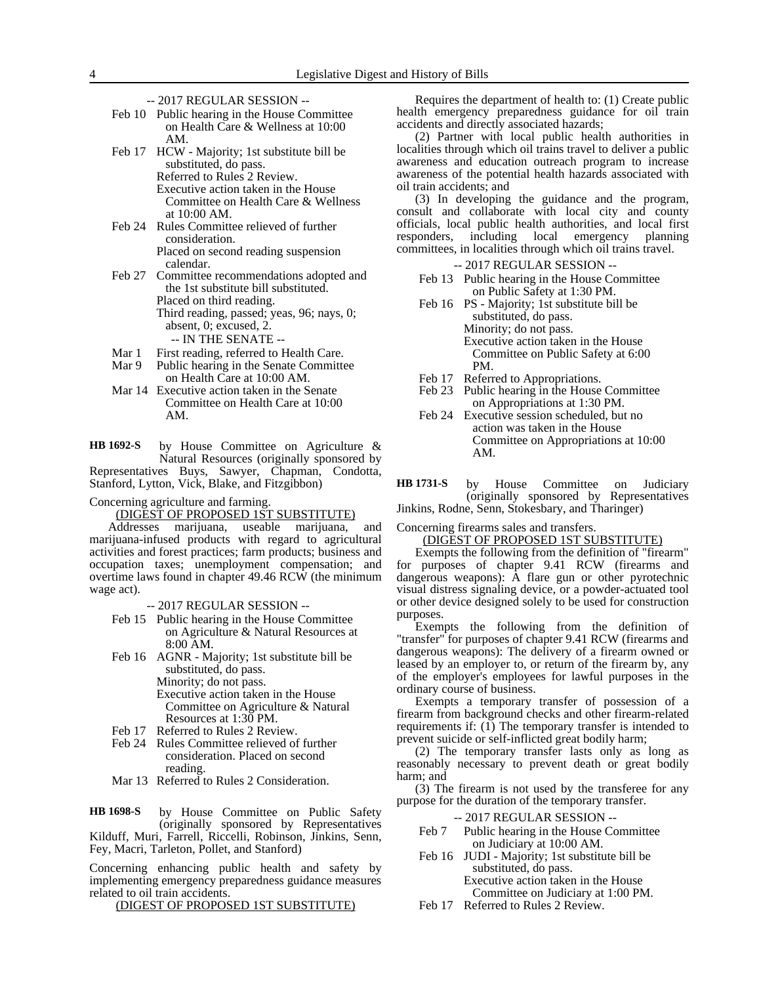- -- 2017 REGULAR SESSION --
- Feb 10 Public hearing in the House Committee on Health Care & Wellness at 10:00 AM.
- Feb 17 HCW Majority; 1st substitute bill be substituted, do pass. Referred to Rules 2 Review. Executive action taken in the House Committee on Health Care & Wellness at 10:00 AM.
- Feb 24 Rules Committee relieved of further consideration. Placed on second reading suspension
- calendar. Feb 27 Committee recommendations adopted and the 1st substitute bill substituted. Placed on third reading. Third reading, passed; yeas, 96; nays, 0; absent, 0; excused, 2.
	- -- IN THE SENATE --
- Mar 1 First reading, referred to Health Care.
- Mar 9 Public hearing in the Senate Committee on Health Care at 10:00 AM.
- Mar 14 Executive action taken in the Senate Committee on Health Care at 10:00 AM.

by House Committee on Agriculture & Natural Resources (originally sponsored by Representatives Buys, Sawyer, Chapman, Condotta, Stanford, Lytton, Vick, Blake, and Fitzgibbon) **HB 1692-S**

Concerning agriculture and farming. (DIGEST OF PROPOSED 1ST SUBSTITUTE)

Addresses marijuana, useable marijuana, and marijuana-infused products with regard to agricultural activities and forest practices; farm products; business and occupation taxes; unemployment compensation; and overtime laws found in chapter 49.46 RCW (the minimum wage act).

-- 2017 REGULAR SESSION --

- Feb 15 Public hearing in the House Committee on Agriculture & Natural Resources at 8:00 AM.
- Feb 16 AGNR Majority; 1st substitute bill be substituted, do pass. Minority; do not pass. Executive action taken in the House Committee on Agriculture & Natural Resources at 1:30 PM.
- Feb 17 Referred to Rules 2 Review.
- Feb 24 Rules Committee relieved of further consideration. Placed on second reading.
- Mar 13 Referred to Rules 2 Consideration.

by House Committee on Public Safety (originally sponsored by Representatives Kilduff, Muri, Farrell, Riccelli, Robinson, Jinkins, Senn, Fey, Macri, Tarleton, Pollet, and Stanford) **HB 1698-S**

Concerning enhancing public health and safety by implementing emergency preparedness guidance measures related to oil train accidents.

(DIGEST OF PROPOSED 1ST SUBSTITUTE)

Requires the department of health to: (1) Create public health emergency preparedness guidance for oil train accidents and directly associated hazards;

(2) Partner with local public health authorities in localities through which oil trains travel to deliver a public awareness and education outreach program to increase awareness of the potential health hazards associated with oil train accidents; and

(3) In developing the guidance and the program, consult and collaborate with local city and county officials, local public health authorities, and local first responders, including local emergency planning committees, in localities through which oil trains travel.

- -- 2017 REGULAR SESSION --
- Feb 13 Public hearing in the House Committee on Public Safety at 1:30 PM.
- Feb 16 PS Majority; 1st substitute bill be substituted, do pass. Minority; do not pass. Executive action taken in the House Committee on Public Safety at 6:00 PM.
- Feb 17 Referred to Appropriations.
- Feb 23 Public hearing in the House Committee on Appropriations at 1:30 PM.
- Feb 24 Executive session scheduled, but no action was taken in the House Committee on Appropriations at 10:00 AM.

by House Committee on Judiciary (originally sponsored by Representatives Jinkins, Rodne, Senn, Stokesbary, and Tharinger) **HB 1731-S**

Concerning firearms sales and transfers.

### (DIGEST OF PROPOSED 1ST SUBSTITUTE)

Exempts the following from the definition of "firearm" for purposes of chapter 9.41 RCW (firearms and dangerous weapons): A flare gun or other pyrotechnic visual distress signaling device, or a powder-actuated tool or other device designed solely to be used for construction purposes.

Exempts the following from the definition of "transfer" for purposes of chapter 9.41 RCW (firearms and dangerous weapons): The delivery of a firearm owned or leased by an employer to, or return of the firearm by, any of the employer's employees for lawful purposes in the ordinary course of business.

Exempts a temporary transfer of possession of a firearm from background checks and other firearm-related requirements if:  $(1)$  The temporary transfer is intended to prevent suicide or self-inflicted great bodily harm;

(2) The temporary transfer lasts only as long as reasonably necessary to prevent death or great bodily harm; and

(3) The firearm is not used by the transferee for any purpose for the duration of the temporary transfer.

-- 2017 REGULAR SESSION --

- Feb 7 Public hearing in the House Committee on Judiciary at 10:00 AM.
- Feb 16 JUDI Majority; 1st substitute bill be substituted, do pass. Executive action taken in the House

Committee on Judiciary at 1:00 PM.

Feb 17 Referred to Rules 2 Review.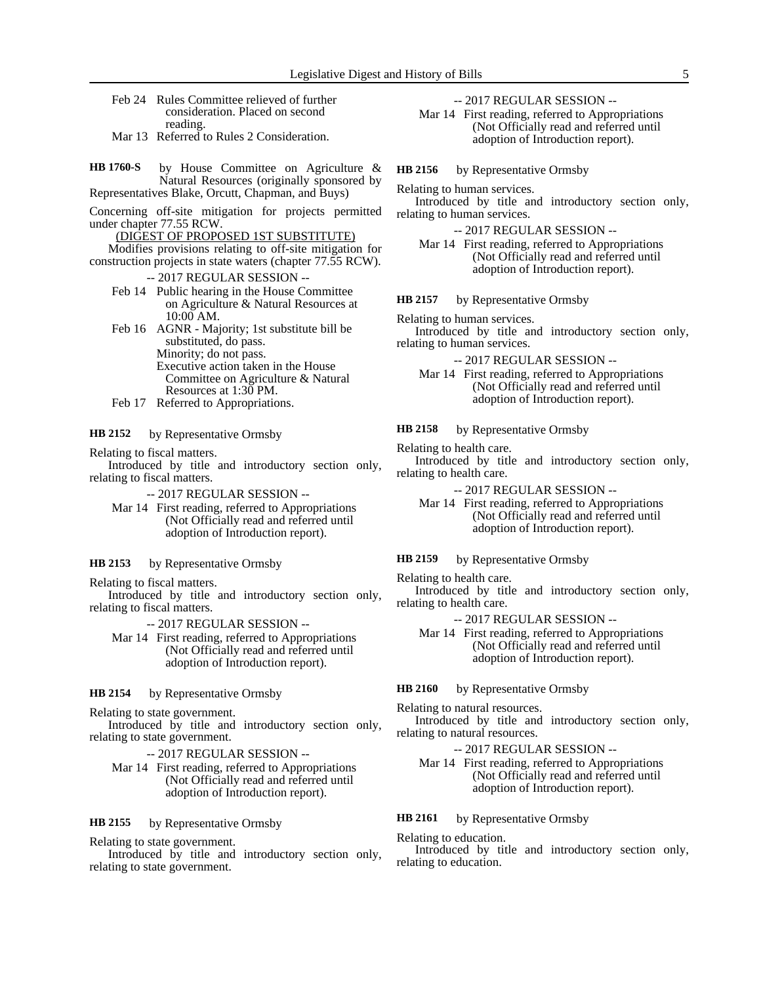- Feb 24 Rules Committee relieved of further consideration. Placed on second reading.
- Mar 13 Referred to Rules 2 Consideration.
- by House Committee on Agriculture & Natural Resources (originally sponsored by Representatives Blake, Orcutt, Chapman, and Buys) **HB 1760-S**

Concerning off-site mitigation for projects permitted under chapter 77.55 RCW.

- (DIGEST OF PROPOSED 1ST SUBSTITUTE)
- Modifies provisions relating to off-site mitigation for construction projects in state waters (chapter 77.55 RCW).
	- -- 2017 REGULAR SESSION --
	- Feb 14 Public hearing in the House Committee on Agriculture & Natural Resources at 10:00 AM.

Feb 16 AGNR - Majority; 1st substitute bill be substituted, do pass. Minority; do not pass. Executive action taken in the House Committee on Agriculture & Natural Resources at 1:30 PM.

Feb 17 Referred to Appropriations.

### by Representative Ormsby **HB 2152**

Relating to fiscal matters.

Introduced by title and introductory section only, relating to fiscal matters.

-- 2017 REGULAR SESSION --

Mar 14 First reading, referred to Appropriations (Not Officially read and referred until adoption of Introduction report).

### by Representative Ormsby **HB 2153**

Relating to fiscal matters.

Introduced by title and introductory section only, relating to fiscal matters.

-- 2017 REGULAR SESSION --

Mar 14 First reading, referred to Appropriations (Not Officially read and referred until adoption of Introduction report).

### by Representative Ormsby **HB 2154**

Relating to state government.

Introduced by title and introductory section only, relating to state government.

-- 2017 REGULAR SESSION --

Mar 14 First reading, referred to Appropriations (Not Officially read and referred until adoption of Introduction report).

by Representative Ormsby **HB 2155**

Relating to state government.

Introduced by title and introductory section only, relating to state government.

-- 2017 REGULAR SESSION --

Mar 14 First reading, referred to Appropriations (Not Officially read and referred until adoption of Introduction report).

by Representative Ormsby **HB 2156**

Relating to human services.

Introduced by title and introductory section only, relating to human services.

-- 2017 REGULAR SESSION --

Mar 14 First reading, referred to Appropriations (Not Officially read and referred until adoption of Introduction report).

by Representative Ormsby **HB 2157**

Relating to human services.

Introduced by title and introductory section only, relating to human services.

-- 2017 REGULAR SESSION --

Mar 14 First reading, referred to Appropriations (Not Officially read and referred until adoption of Introduction report).

by Representative Ormsby **HB 2158**

Relating to health care.

Introduced by title and introductory section only, relating to health care.

-- 2017 REGULAR SESSION --

Mar 14 First reading, referred to Appropriations (Not Officially read and referred until adoption of Introduction report).

### by Representative Ormsby **HB 2159**

Relating to health care.

Introduced by title and introductory section only, relating to health care.

-- 2017 REGULAR SESSION --

Mar 14 First reading, referred to Appropriations (Not Officially read and referred until adoption of Introduction report).

by Representative Ormsby **HB 2160**

Relating to natural resources.

Introduced by title and introductory section only, relating to natural resources.

-- 2017 REGULAR SESSION --

Mar 14 First reading, referred to Appropriations (Not Officially read and referred until adoption of Introduction report).

### by Representative Ormsby **HB 2161**

Relating to education.

Introduced by title and introductory section only, relating to education.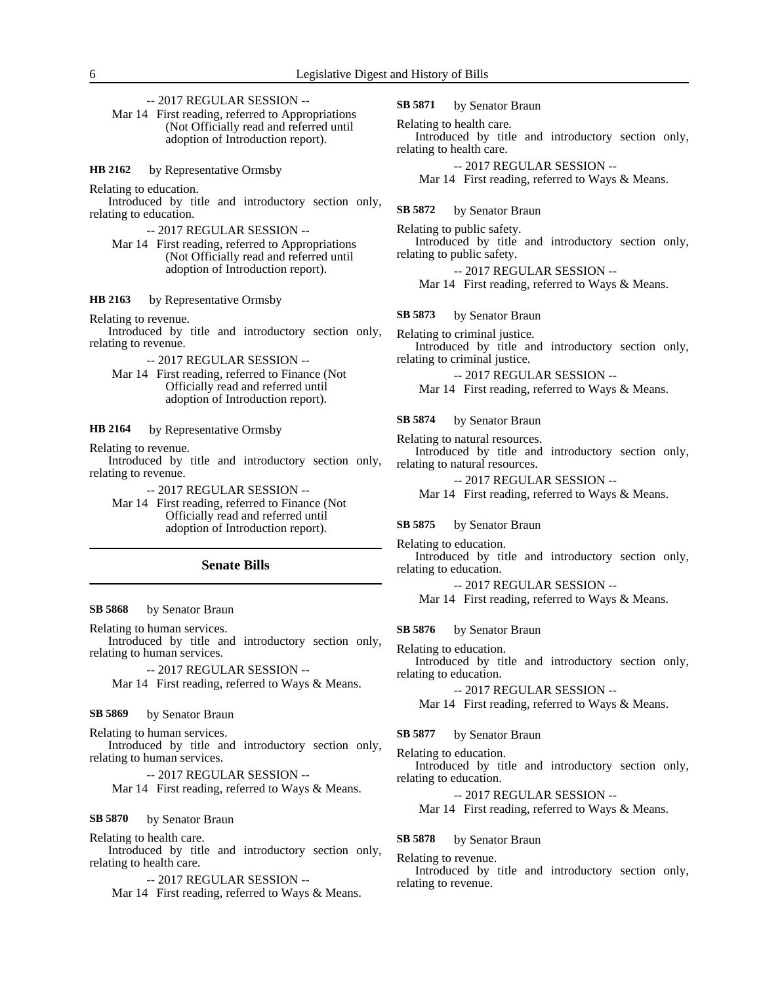-- 2017 REGULAR SESSION --

Mar 14 First reading, referred to Appropriations (Not Officially read and referred until adoption of Introduction report).

by Representative Ormsby **HB 2162**

Relating to education.

Introduced by title and introductory section only, relating to education.

-- 2017 REGULAR SESSION --

Mar 14 First reading, referred to Appropriations (Not Officially read and referred until adoption of Introduction report).

### by Representative Ormsby **HB 2163**

Relating to revenue.

Introduced by title and introductory section only, relating to revenue.

-- 2017 REGULAR SESSION --

Mar 14 First reading, referred to Finance (Not Officially read and referred until adoption of Introduction report).

by Representative Ormsby **HB 2164**

Relating to revenue.

Introduced by title and introductory section only, relating to revenue.

-- 2017 REGULAR SESSION --

Mar 14 First reading, referred to Finance (Not Officially read and referred until adoption of Introduction report).

### **Senate Bills**

### by Senator Braun **SB 5868**

Relating to human services.

Introduced by title and introductory section only, relating to human services.

-- 2017 REGULAR SESSION -- Mar 14 First reading, referred to Ways & Means.

#### by Senator Braun **SB 5869**

Relating to human services.

Introduced by title and introductory section only, relating to human services.

-- 2017 REGULAR SESSION --

Mar 14 First reading, referred to Ways & Means.

### by Senator Braun **SB 5870**

Relating to health care.

Introduced by title and introductory section only, relating to health care.

-- 2017 REGULAR SESSION --

Mar 14 First reading, referred to Ways & Means.

by Senator Braun **SB 5871**

Relating to health care.

Introduced by title and introductory section only, relating to health care.

-- 2017 REGULAR SESSION --

Mar 14 First reading, referred to Ways & Means.

by Senator Braun **SB 5872**

Relating to public safety. Introduced by title and introductory section only, relating to public safety.

-- 2017 REGULAR SESSION --

Mar 14 First reading, referred to Ways & Means.

by Senator Braun **SB 5873**

Relating to criminal justice. Introduced by title and introductory section only, relating to criminal justice.

-- 2017 REGULAR SESSION -- Mar 14 First reading, referred to Ways & Means.

### by Senator Braun **SB 5874**

Relating to natural resources.

Introduced by title and introductory section only, relating to natural resources.

-- 2017 REGULAR SESSION --

Mar 14 First reading, referred to Ways & Means.

by Senator Braun **SB 5875**

Relating to education.

Introduced by title and introductory section only, relating to education.

-- 2017 REGULAR SESSION --

Mar 14 First reading, referred to Ways & Means.

by Senator Braun **SB 5876**

Relating to education.

Introduced by title and introductory section only, relating to education.

-- 2017 REGULAR SESSION --

Mar 14 First reading, referred to Ways & Means.

by Senator Braun **SB 5877**

Relating to education.

Introduced by title and introductory section only, relating to education.

-- 2017 REGULAR SESSION --

Mar 14 First reading, referred to Ways & Means.

### by Senator Braun **SB 5878**

Relating to revenue.

Introduced by title and introductory section only, relating to revenue.